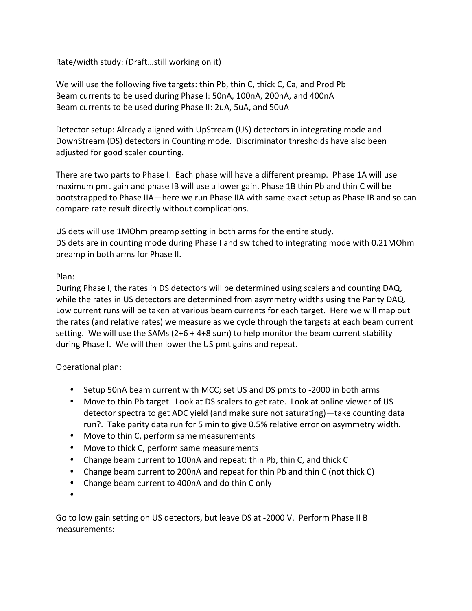Rate/width study: (Draft...still working on it)

We will use the following five targets: thin Pb, thin C, thick C, Ca, and Prod Pb Beam currents to be used during Phase I: 50nA, 100nA, 200nA, and 400nA Beam currents to be used during Phase II: 2uA, 5uA, and 50uA

Detector setup: Already aligned with UpStream (US) detectors in integrating mode and DownStream (DS) detectors in Counting mode. Discriminator thresholds have also been adjusted for good scaler counting.

There are two parts to Phase I. Each phase will have a different preamp. Phase 1A will use maximum pmt gain and phase IB will use a lower gain. Phase 1B thin Pb and thin C will be bootstrapped to Phase IIA—here we run Phase IIA with same exact setup as Phase IB and so can compare rate result directly without complications.

US dets will use 1MOhm preamp setting in both arms for the entire study. DS dets are in counting mode during Phase I and switched to integrating mode with 0.21MOhm preamp in both arms for Phase II.

## Plan:

During Phase I, the rates in DS detectors will be determined using scalers and counting DAQ, while the rates in US detectors are determined from asymmetry widths using the Parity DAQ. Low current runs will be taken at various beam currents for each target. Here we will map out the rates (and relative rates) we measure as we cycle through the targets at each beam current setting. We will use the SAMs  $(2+6 + 4+8 \text{ sum})$  to help monitor the beam current stability during Phase I. We will then lower the US pmt gains and repeat.

## Operational plan:

- Setup 50nA beam current with MCC; set US and DS pmts to -2000 in both arms
- Move to thin Pb target. Look at DS scalers to get rate. Look at online viewer of US detector spectra to get ADC yield (and make sure not saturating)—take counting data run?. Take parity data run for 5 min to give 0.5% relative error on asymmetry width.
- Move to thin C, perform same measurements
- Move to thick C, perform same measurements
- Change beam current to 100nA and repeat: thin Pb, thin C, and thick C
- Change beam current to 200nA and repeat for thin Pb and thin C (not thick C)
- Change beam current to 400nA and do thin C only
- •

Go to low gain setting on US detectors, but leave DS at -2000 V. Perform Phase II B measurements: